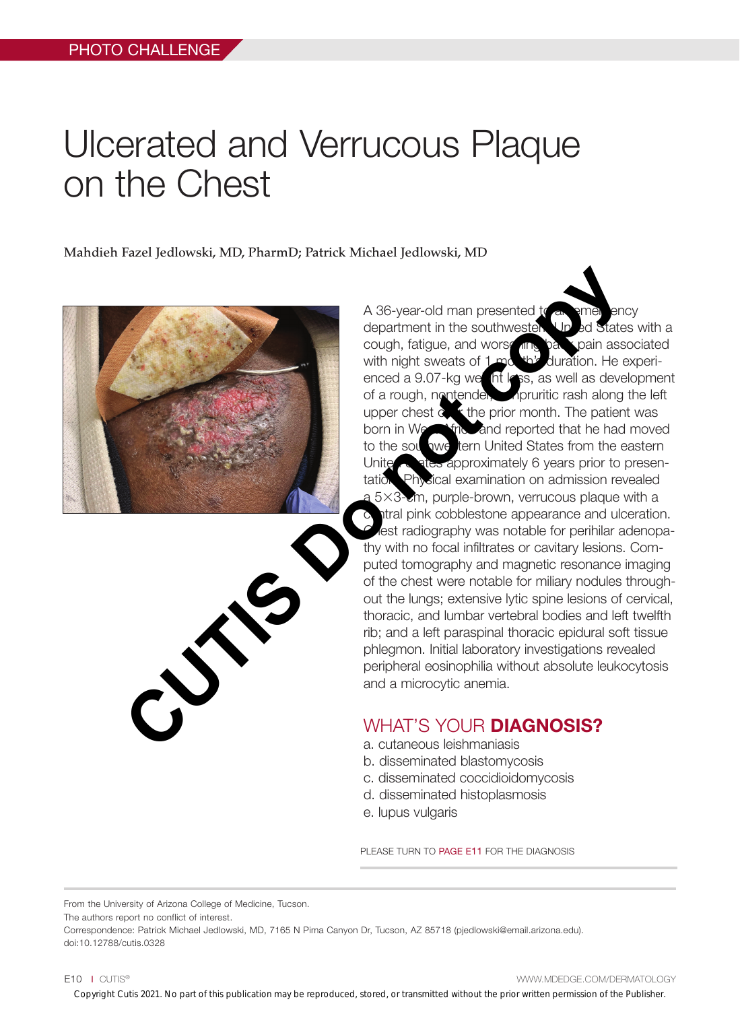## Ulcerated and Verrucous Plaque on the Chest

Mahdieh Fazel Jedlowski, MD, PharmD; Patrick Michael Jedlowski, MD



A 36-year-old man presented  $t$ department in the southwester. United States with a cough, fatigue, and worsening back pain associated with night sweats of 1 month's duration. He experienced a 9.07-kg weight  $\overline{\mathsf{I}}$  loss, as well as development of a rough, nontender, in inpruritic rash along the left upper chest  $\alpha$ ,  $\kappa$  the prior month. The patient was born in West Africa and reported that he had moved to the sou awe tern United States from the eastern United  $\sim$  at the approximately 6 years prior to presentation. Physical examination on admission revealed a 5×3-cm, purple-brown, verrucous plaque with a atral pink cobblestone appearance and ulceration. lest radiography was notable for perihilar adenopathy with no focal infiltrates or cavitary lesions. Computed tomography and magnetic resonance imaging of the chest were notable for miliary nodules throughout the lungs; extensive lytic spine lesions of cervical, thoracic, and lumbar vertebral bodies and left twelfth rib; and a left paraspinal thoracic epidural soft tissue phlegmon. Initial laboratory investigations revealed peripheral eosinophilia without absolute leukocytosis and a microcytic anemia. A 36-year-old man presented to the southwester<br>
cough, taigue, and worse the southwest of the scale with night is weaks of the enced a 30.7-kg weak load with night is as a well as developed a couply and depoted that he had

## WHAT'S YOUR **DIAGNOSIS?**

- a. cutaneous leishmaniasis
- b. disseminated blastomycosis
- c. disseminated coccidioidomycosis
- d. disseminated histoplasmosis
- e. lupus vulgaris

PLEASE TURN TO PAGE E11 FOR THE DIAGNOSIS

From the University of Arizona College of Medicine, Tucson.

The authors report no conflict of interest.

Correspondence: Patrick Michael Jedlowski, MD, 7165 N Pima Canyon Dr, Tucson, AZ 85718 (pjedlowski@email.arizona.edu). doi:10.12788/cutis.0328